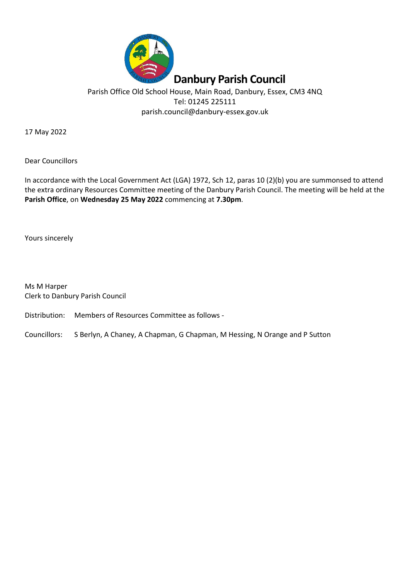

## Parish Office Old School House, Main Road, Danbury, Essex, CM3 4NQ Tel: 01245 225111 parish.council@danbury-essex.gov.uk

17 May 2022

Dear Councillors

In accordance with the Local Government Act (LGA) 1972, Sch 12, paras 10 (2)(b) you are summonsed to attend the extra ordinary Resources Committee meeting of the Danbury Parish Council. The meeting will be held at the **Parish Office**, on **Wednesday 25 May 2022** commencing at **7.30pm**.

Yours sincerely

Ms M Harper Clerk to Danbury Parish Council

Distribution: Members of Resources Committee as follows -

Councillors: S Berlyn, A Chaney, A Chapman, G Chapman, M Hessing, N Orange and P Sutton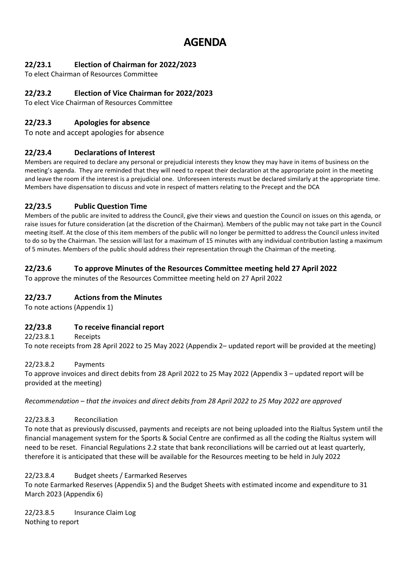# **AGENDA**

# **22/23.1 Election of Chairman for 2022/2023**

To elect Chairman of Resources Committee

## **22/23.2 Election of Vice Chairman for 2022/2023**

To elect Vice Chairman of Resources Committee

## **22/23.3 Apologies for absence**

To note and accept apologies for absence

## **22/23.4 Declarations of Interest**

Members are required to declare any personal or prejudicial interests they know they may have in items of business on the meeting's agenda. They are reminded that they will need to repeat their declaration at the appropriate point in the meeting and leave the room if the interest is a prejudicial one. Unforeseen interests must be declared similarly at the appropriate time. Members have dispensation to discuss and vote in respect of matters relating to the Precept and the DCA

#### **22/23.5 Public Question Time**

Members of the public are invited to address the Council, give their views and question the Council on issues on this agenda, or raise issues for future consideration (at the discretion of the Chairman). Members of the public may not take part in the Council meeting itself. At the close of this item members of the public will no longer be permitted to address the Council unless invited to do so by the Chairman. The session will last for a maximum of 15 minutes with any individual contribution lasting a maximum of 5 minutes. Members of the public should address their representation through the Chairman of the meeting.

#### **22/23.6 To approve Minutes of the Resources Committee meeting held 27 April 2022**

To approve the minutes of the Resources Committee meeting held on 27 April 2022

#### **22/23.7 Actions from the Minutes**

To note actions (Appendix 1)

## **22/23.8 To receive financial report**

22/23.8.1 Receipts To note receipts from 28 April 2022 to 25 May 2022 (Appendix 2– updated report will be provided at the meeting)

#### 22/23.8.2 Payments

To approve invoices and direct debits from 28 April 2022 to 25 May 2022 (Appendix 3 – updated report will be provided at the meeting)

*Recommendation – that the invoices and direct debits from 28 April 2022 to 25 May 2022 are approved*

#### 22/23.8.3 Reconciliation

To note that as previously discussed, payments and receipts are not being uploaded into the Rialtus System until the financial management system for the Sports & Social Centre are confirmed as all the coding the Rialtus system will need to be reset. Financial Regulations 2.2 state that bank reconciliations will be carried out at least quarterly, therefore it is anticipated that these will be available for the Resources meeting to be held in July 2022

#### 22/23.8.4 Budget sheets / Earmarked Reserves

To note Earmarked Reserves (Appendix 5) and the Budget Sheets with estimated income and expenditure to 31 March 2023 (Appendix 6)

22/23.8.5 Insurance Claim Log Nothing to report